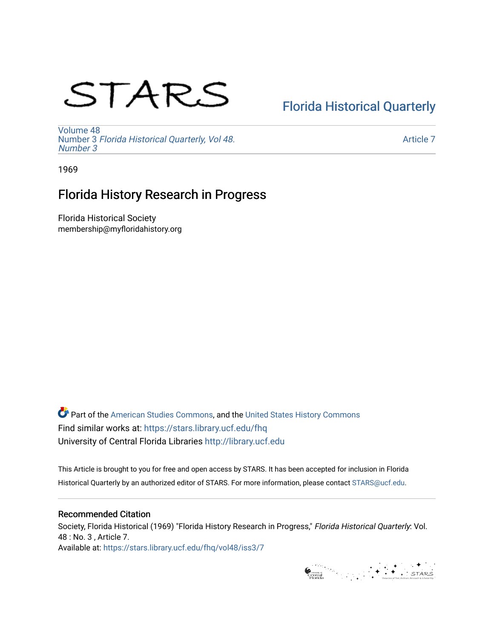# STARS

## [Florida Historical Quarterly](https://stars.library.ucf.edu/fhq)

[Volume 48](https://stars.library.ucf.edu/fhq/vol48) Number 3 [Florida Historical Quarterly, Vol 48.](https://stars.library.ucf.edu/fhq/vol48/iss3) [Number 3](https://stars.library.ucf.edu/fhq/vol48/iss3)

[Article 7](https://stars.library.ucf.edu/fhq/vol48/iss3/7) 

1969

## Florida History Research in Progress

Florida Historical Society membership@myfloridahistory.org

**C** Part of the [American Studies Commons](http://network.bepress.com/hgg/discipline/439?utm_source=stars.library.ucf.edu%2Ffhq%2Fvol48%2Fiss3%2F7&utm_medium=PDF&utm_campaign=PDFCoverPages), and the United States History Commons Find similar works at: <https://stars.library.ucf.edu/fhq> University of Central Florida Libraries [http://library.ucf.edu](http://library.ucf.edu/) 

This Article is brought to you for free and open access by STARS. It has been accepted for inclusion in Florida Historical Quarterly by an authorized editor of STARS. For more information, please contact [STARS@ucf.edu.](mailto:STARS@ucf.edu)

### Recommended Citation

Society, Florida Historical (1969) "Florida History Research in Progress," Florida Historical Quarterly: Vol. 48 : No. 3 , Article 7. Available at: [https://stars.library.ucf.edu/fhq/vol48/iss3/7](https://stars.library.ucf.edu/fhq/vol48/iss3/7?utm_source=stars.library.ucf.edu%2Ffhq%2Fvol48%2Fiss3%2F7&utm_medium=PDF&utm_campaign=PDFCoverPages) 

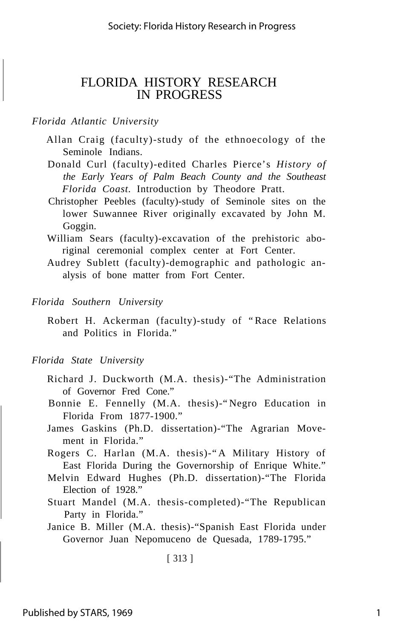### FLORIDA HISTORY RESEARCH IN PROGRESS

#### *Florida Atlantic University*

- Allan Craig (faculty)-study of the ethnoecology of the Seminole Indians.
- Donald Curl (faculty)-edited Charles Pierce's *History of the Early Years of Palm Beach County and the Southeast Florida Coast.* Introduction by Theodore Pratt.
- Christopher Peebles (faculty)-study of Seminole sites on the lower Suwannee River originally excavated by John M. Goggin.
- William Sears (faculty)-excavation of the prehistoric aboriginal ceremonial complex center at Fort Center.
- Audrey Sublett (faculty)-demographic and pathologic analysis of bone matter from Fort Center.

#### *Florida Southern University*

Robert H. Ackerman (faculty)-study of "Race Relations and Politics in Florida."

#### *Florida State University*

- Richard J. Duckworth (M.A. thesis)-"The Administration of Governor Fred Cone."
- Bonnie E. Fennelly (M.A. thesis)-"Negro Education in Florida From 1877-1900."
- James Gaskins (Ph.D. dissertation)-"The Agrarian Movement in Florida."
- Rogers C. Harlan (M.A. thesis)-"A Military History of East Florida During the Governorship of Enrique White."
- Melvin Edward Hughes (Ph.D. dissertation)-"The Florida Election of 1928."
- Stuart Mandel (M.A. thesis-completed)-"The Republican Party in Florida."
- Janice B. Miller (M.A. thesis)-"Spanish East Florida under Governor Juan Nepomuceno de Quesada, 1789-1795."

[ 313 ]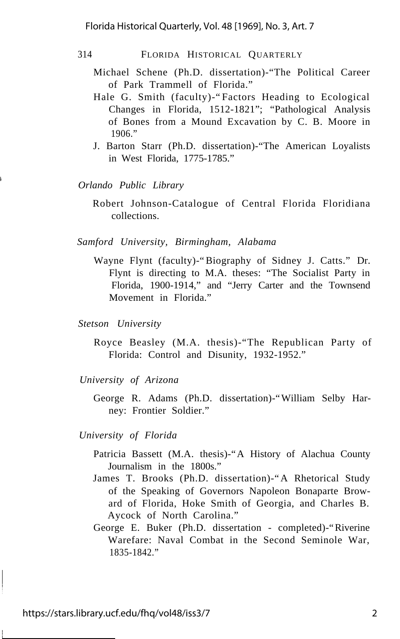#### 314 FLORIDA HISTORICAL QUARTERLY

- Michael Schene (Ph.D. dissertation)-"The Political Career of Park Trammell of Florida."
- Hale G. Smith (faculty)-"Factors Heading to Ecological Changes in Florida, 1512-1821"; "Pathological Analysis of Bones from a Mound Excavation by C. B. Moore in 1906."
- J. Barton Starr (Ph.D. dissertation)-"The American Loyalists in West Florida, 1775-1785."

*Orlando Public Library*

Robert Johnson-Catalogue of Central Florida Floridiana collections.

*Samford University, Birmingham, Alabama*

- Wayne Flynt (faculty)-"Biography of Sidney J. Catts." Dr. Flynt is directing to M.A. theses: "The Socialist Party in Florida, 1900-1914," and "Jerry Carter and the Townsend Movement in Florida."
- *Stetson University*
	- Royce Beasley (M.A. thesis)-"The Republican Party of Florida: Control and Disunity, 1932-1952."
- *University of Arizona*
	- George R. Adams (Ph.D. dissertation)-"William Selby Harney: Frontier Soldier."

*University of Florida*

- Patricia Bassett (M.A. thesis)-"A History of Alachua County Journalism in the 1800s."
- James T. Brooks (Ph.D. dissertation)-"A Rhetorical Study of the Speaking of Governors Napoleon Bonaparte Broward of Florida, Hoke Smith of Georgia, and Charles B. Aycock of North Carolina."
- George E. Buker (Ph.D. dissertation completed)-"Riverine Warefare: Naval Combat in the Second Seminole War, 1835-1842."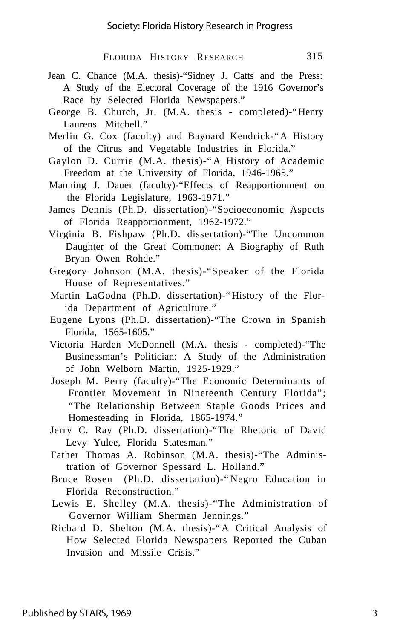- Jean C. Chance (M.A. thesis)-"Sidney J. Catts and the Press: A Study of the Electoral Coverage of the 1916 Governor's Race by Selected Florida Newspapers."
- George B. Church, Jr. (M.A. thesis completed)-"Henry Laurens Mitchell."
- Merlin G. Cox (faculty) and Baynard Kendrick-"A History of the Citrus and Vegetable Industries in Florida."
- Gaylon D. Currie (M.A. thesis)-"A History of Academic Freedom at the University of Florida, 1946-1965."
- Manning J. Dauer (faculty)-"Effects of Reapportionment on the Florida Legislature, 1963-1971."
- James Dennis (Ph.D. dissertation)-"Socioeconomic Aspects of Florida Reapportionment, 1962-1972."
- Virginia B. Fishpaw (Ph.D. dissertation)-"The Uncommon Daughter of the Great Commoner: A Biography of Ruth Bryan Owen Rohde."
- Gregory Johnson (M.A. thesis)-"Speaker of the Florida House of Representatives."
- Martin LaGodna (Ph.D. dissertation)-"History of the Florida Department of Agriculture."
- Eugene Lyons (Ph.D. dissertation)-"The Crown in Spanish Florida, 1565-1605."
- Victoria Harden McDonnell (M.A. thesis completed)-"The Businessman's Politician: A Study of the Administration of John Welborn Martin, 1925-1929."
- Joseph M. Perry (faculty)-"The Economic Determinants of Frontier Movement in Nineteenth Century Florida"; "The Relationship Between Staple Goods Prices and Homesteading in Florida, 1865-1974."
- Jerry C. Ray (Ph.D. dissertation)-"The Rhetoric of David Levy Yulee, Florida Statesman."
- Father Thomas A. Robinson (M.A. thesis)-"The Administration of Governor Spessard L. Holland."
- Bruce Rosen (Ph.D. dissertation)-"Negro Education in Florida Reconstruction."
- Lewis E. Shelley (M.A. thesis)-"The Administration of Governor William Sherman Jennings."
- Richard D. Shelton (M.A. thesis)-"A Critical Analysis of How Selected Florida Newspapers Reported the Cuban Invasion and Missile Crisis."